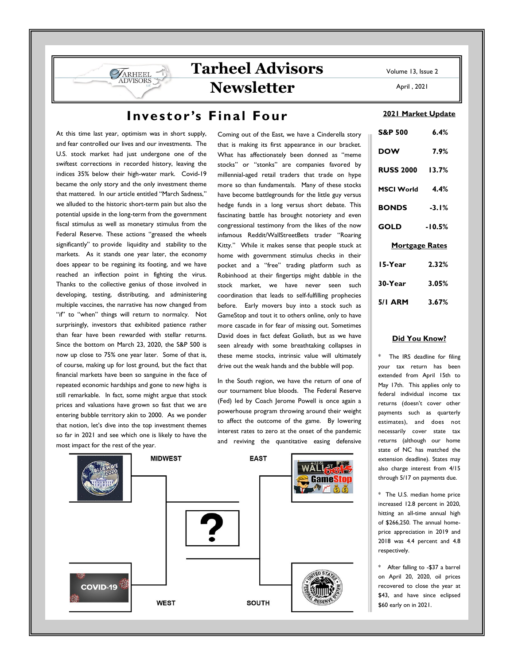April , 2021

# **Tarheel Advisors Newsletter**

### Investor's Final Four

At this time last year, optimism was in short supply, and fear controlled our lives and our investments. The U.S. stock market had just undergone one of the swiftest corrections in recorded history, leaving the indices 35% below their high-water mark. Covid-19 became the only story and the only investment theme that mattered. In our article entitled "March Sadness," we alluded to the historic short-term pain but also the potential upside in the long-term from the government fiscal stimulus as well as monetary stimulus from the Federal Reserve. These actions "greased the wheels significantly" to provide liquidity and stability to the markets. As it stands one year later, the economy does appear to be regaining its footing, and we have reached an inflection point in fighting the virus. Thanks to the collective genius of those involved in developing, testing, distributing, and administering multiple vaccines, the narrative has now changed from "if" to "when" things will return to normalcy. Not surprisingly, investors that exhibited patience rather than fear have been rewarded with stellar returns. Since the bottom on March 23, 2020, the S&P 500 is now up close to 75% one year later. Some of that is, of course, making up for lost ground, but the fact that financial markets have been so sanguine in the face of repeated economic hardships and gone to new highs is still remarkable. In fact, some might argue that stock prices and valuations have grown so fast that we are entering bubble territory akin to 2000. As we ponder that notion, let's dive into the top investment themes so far in 2021 and see which one is likely to have the most impact for the rest of the year.

ARHEEL

Coming out of the East, we have a Cinderella story that is making its first appearance in our bracket. What has affectionately been donned as "meme stocks" or "stonks" are companies favored by millennial-aged retail traders that trade on hype more so than fundamentals. Many of these stocks have become battlegrounds for the little guy versus hedge funds in a long versus short debate. This fascinating battle has brought notoriety and even congressional testimony from the likes of the now infamous Reddit/WallStreetBets trader "Roaring Kitty." While it makes sense that people stuck at home with government stimulus checks in their pocket and a "free" trading platform such as Robinhood at their fingertips might dabble in the stock market, we have never seen such coordination that leads to self-fulfilling prophecies before. Early movers buy into a stock such as GameStop and tout it to others online, only to have more cascade in for fear of missing out. Sometimes David does in fact defeat Goliath, but as we have seen already with some breathtaking collapses in these meme stocks, intrinsic value will ultimately drive out the weak hands and the bubble will pop.

In the South region, we have the return of one of our tournament blue bloods. The Federal Reserve (Fed) led by Coach Jerome Powell is once again a powerhouse program throwing around their weight to affect the outcome of the game. By lowering interest rates to zero at the onset of the pandemic and reviving the quantitative easing defensive



#### 2021 Market Update

| <b>S&amp;P 500</b>     | 6.4%     |
|------------------------|----------|
| <b>DOW</b>             | 7.9%     |
| <b>RUSS 2000 13.7%</b> |          |
| MSCI World 4.4%        |          |
| <b>BONDS</b>           | $-3.1%$  |
| GOLD                   | $-10.5%$ |
| <b>Mortgage Rates</b>  |          |
| 15-Year                | 2.32%    |
| 30-Year                | 3.05%    |
| 5/1 ARM 3.67%          |          |

### Did You Know?

The IRS deadline for filing your tax return has been extended from April 15th to May 17th. This applies only to federal individual income tax returns (doesn't cover other payments such as quarterly estimates), and does not necessarily cover state tax returns (although our home state of NC has matched the extension deadline). States may also charge interest from 4/15 through 5/17 on payments due.

\* The U.S. median home price increased 12.8 percent in 2020, hitting an all-time annual high of \$266,250. The annual homeprice appreciation in 2019 and 2018 was 4.4 percent and 4.8 respectively.

\* After falling to -\$37 a barrel on April 20, 2020, oil prices recovered to close the year at \$43, and have since eclipsed \$60 early on in 2021.